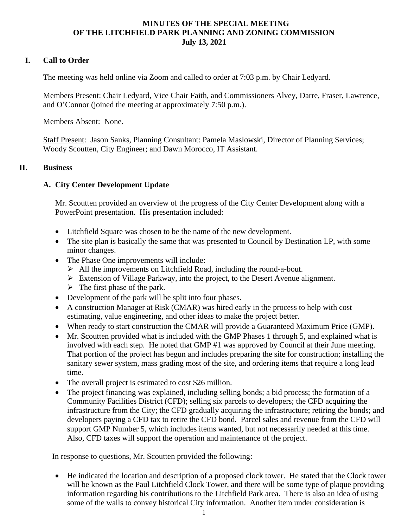#### **MINUTES OF THE SPECIAL MEETING OF THE LITCHFIELD PARK PLANNING AND ZONING COMMISSION July 13, 2021**

# **I. Call to Order**

The meeting was held online via Zoom and called to order at 7:03 p.m. by Chair Ledyard.

Members Present: Chair Ledyard, Vice Chair Faith, and Commissioners Alvey, Darre, Fraser, Lawrence, and O'Connor (joined the meeting at approximately 7:50 p.m.).

Members Absent: None.

Staff Present: Jason Sanks, Planning Consultant: Pamela Maslowski, Director of Planning Services; Woody Scoutten, City Engineer; and Dawn Morocco, IT Assistant.

#### **II. Business**

### **A. City Center Development Update**

Mr. Scoutten provided an overview of the progress of the City Center Development along with a PowerPoint presentation. His presentation included:

- Litchfield Square was chosen to be the name of the new development.
- The site plan is basically the same that was presented to Council by Destination LP, with some minor changes.
- The Phase One improvements will include:
	- All the improvements on Litchfield Road, including the round-a-bout.
	- Extension of Village Parkway, into the project, to the Desert Avenue alignment.
	- $\triangleright$  The first phase of the park.
- Development of the park will be split into four phases.
- A construction Manager at Risk (CMAR) was hired early in the process to help with cost estimating, value engineering, and other ideas to make the project better.
- When ready to start construction the CMAR will provide a Guaranteed Maximum Price (GMP).
- Mr. Scoutten provided what is included with the GMP Phases 1 through 5, and explained what is involved with each step. He noted that GMP #1 was approved by Council at their June meeting. That portion of the project has begun and includes preparing the site for construction; installing the sanitary sewer system, mass grading most of the site, and ordering items that require a long lead time.
- The overall project is estimated to cost \$26 million.
- The project financing was explained, including selling bonds; a bid process; the formation of a Community Facilities District (CFD); selling six parcels to developers; the CFD acquiring the infrastructure from the City; the CFD gradually acquiring the infrastructure; retiring the bonds; and developers paying a CFD tax to retire the CFD bond. Parcel sales and revenue from the CFD will support GMP Number 5, which includes items wanted, but not necessarily needed at this time. Also, CFD taxes will support the operation and maintenance of the project.

In response to questions, Mr. Scoutten provided the following:

• He indicated the location and description of a proposed clock tower. He stated that the Clock tower will be known as the Paul Litchfield Clock Tower, and there will be some type of plaque providing information regarding his contributions to the Litchfield Park area. There is also an idea of using some of the walls to convey historical City information. Another item under consideration is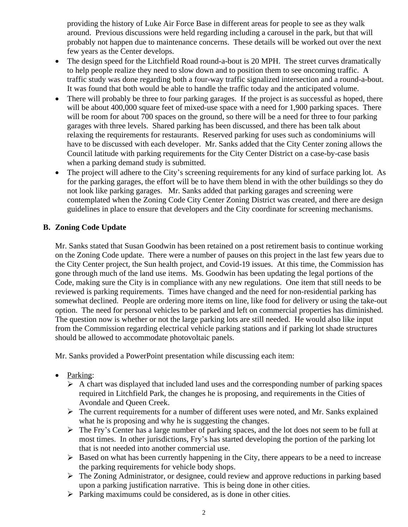providing the history of Luke Air Force Base in different areas for people to see as they walk around. Previous discussions were held regarding including a carousel in the park, but that will probably not happen due to maintenance concerns. These details will be worked out over the next few years as the Center develops.

- The design speed for the Litchfield Road round-a-bout is 20 MPH. The street curves dramatically to help people realize they need to slow down and to position them to see oncoming traffic. A traffic study was done regarding both a four-way traffic signalized intersection and a round-a-bout. It was found that both would be able to handle the traffic today and the anticipated volume.
- There will probably be three to four parking garages. If the project is as successful as hoped, there will be about 400,000 square feet of mixed-use space with a need for 1,900 parking spaces. There will be room for about 700 spaces on the ground, so there will be a need for three to four parking garages with three levels. Shared parking has been discussed, and there has been talk about relaxing the requirements for restaurants. Reserved parking for uses such as condominiums will have to be discussed with each developer. Mr. Sanks added that the City Center zoning allows the Council latitude with parking requirements for the City Center District on a case-by-case basis when a parking demand study is submitted.
- The project will adhere to the City's screening requirements for any kind of surface parking lot. As for the parking garages, the effort will be to have them blend in with the other buildings so they do not look like parking garages. Mr. Sanks added that parking garages and screening were contemplated when the Zoning Code City Center Zoning District was created, and there are design guidelines in place to ensure that developers and the City coordinate for screening mechanisms.

### **B. Zoning Code Update**

Mr. Sanks stated that Susan Goodwin has been retained on a post retirement basis to continue working on the Zoning Code update. There were a number of pauses on this project in the last few years due to the City Center project, the Sun health project, and Covid-19 issues. At this time, the Commission has gone through much of the land use items. Ms. Goodwin has been updating the legal portions of the Code, making sure the City is in compliance with any new regulations. One item that still needs to be reviewed is parking requirements. Times have changed and the need for non-residential parking has somewhat declined. People are ordering more items on line, like food for delivery or using the take-out option. The need for personal vehicles to be parked and left on commercial properties has diminished. The question now is whether or not the large parking lots are still needed. He would also like input from the Commission regarding electrical vehicle parking stations and if parking lot shade structures should be allowed to accommodate photovoltaic panels.

Mr. Sanks provided a PowerPoint presentation while discussing each item:

- Parking:
	- $\triangleright$  A chart was displayed that included land uses and the corresponding number of parking spaces required in Litchfield Park, the changes he is proposing, and requirements in the Cities of Avondale and Queen Creek.
	- $\triangleright$  The current requirements for a number of different uses were noted, and Mr. Sanks explained what he is proposing and why he is suggesting the changes.
	- $\triangleright$  The Fry's Center has a large number of parking spaces, and the lot does not seem to be full at most times. In other jurisdictions, Fry's has started developing the portion of the parking lot that is not needed into another commercial use.
	- $\triangleright$  Based on what has been currently happening in the City, there appears to be a need to increase the parking requirements for vehicle body shops.
	- $\triangleright$  The Zoning Administrator, or designee, could review and approve reductions in parking based upon a parking justification narrative. This is being done in other cities.
	- $\triangleright$  Parking maximums could be considered, as is done in other cities.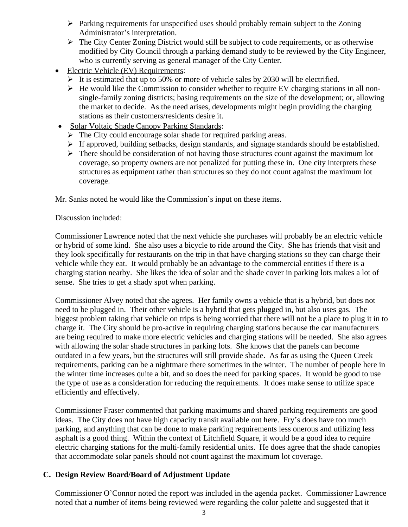- $\triangleright$  Parking requirements for unspecified uses should probably remain subject to the Zoning Administrator's interpretation.
- $\triangleright$  The City Center Zoning District would still be subject to code requirements, or as otherwise modified by City Council through a parking demand study to be reviewed by the City Engineer, who is currently serving as general manager of the City Center.
- Electric Vehicle (EV) Requirements:
	- It is estimated that up to 50% or more of vehicle sales by 2030 will be electrified.
	- $\triangleright$  He would like the Commission to consider whether to require EV charging stations in all nonsingle-family zoning districts; basing requirements on the size of the development; or, allowing the market to decide. As the need arises, developments might begin providing the charging stations as their customers/residents desire it.
- Solar Voltaic Shade Canopy Parking Standards:
	- $\triangleright$  The City could encourage solar shade for required parking areas.
	- $\triangleright$  If approved, building setbacks, design standards, and signage standards should be established.
	- $\triangleright$  There should be consideration of not having those structures count against the maximum lot coverage, so property owners are not penalized for putting these in. One city interprets these structures as equipment rather than structures so they do not count against the maximum lot coverage.

Mr. Sanks noted he would like the Commission's input on these items.

Discussion included:

Commissioner Lawrence noted that the next vehicle she purchases will probably be an electric vehicle or hybrid of some kind. She also uses a bicycle to ride around the City. She has friends that visit and they look specifically for restaurants on the trip in that have charging stations so they can charge their vehicle while they eat. It would probably be an advantage to the commercial entities if there is a charging station nearby. She likes the idea of solar and the shade cover in parking lots makes a lot of sense. She tries to get a shady spot when parking.

Commissioner Alvey noted that she agrees. Her family owns a vehicle that is a hybrid, but does not need to be plugged in. Their other vehicle is a hybrid that gets plugged in, but also uses gas. The biggest problem taking that vehicle on trips is being worried that there will not be a place to plug it in to charge it. The City should be pro-active in requiring charging stations because the car manufacturers are being required to make more electric vehicles and charging stations will be needed. She also agrees with allowing the solar shade structures in parking lots. She knows that the panels can become outdated in a few years, but the structures will still provide shade. As far as using the Queen Creek requirements, parking can be a nightmare there sometimes in the winter. The number of people here in the winter time increases quite a bit, and so does the need for parking spaces. It would be good to use the type of use as a consideration for reducing the requirements. It does make sense to utilize space efficiently and effectively.

Commissioner Fraser commented that parking maximums and shared parking requirements are good ideas. The City does not have high capacity transit available out here. Fry's does have too much parking, and anything that can be done to make parking requirements less onerous and utilizing less asphalt is a good thing. Within the context of Litchfield Square, it would be a good idea to require electric charging stations for the multi-family residential units. He does agree that the shade canopies that accommodate solar panels should not count against the maximum lot coverage.

### **C. Design Review Board/Board of Adjustment Update**

Commissioner O'Connor noted the report was included in the agenda packet. Commissioner Lawrence noted that a number of items being reviewed were regarding the color palette and suggested that it